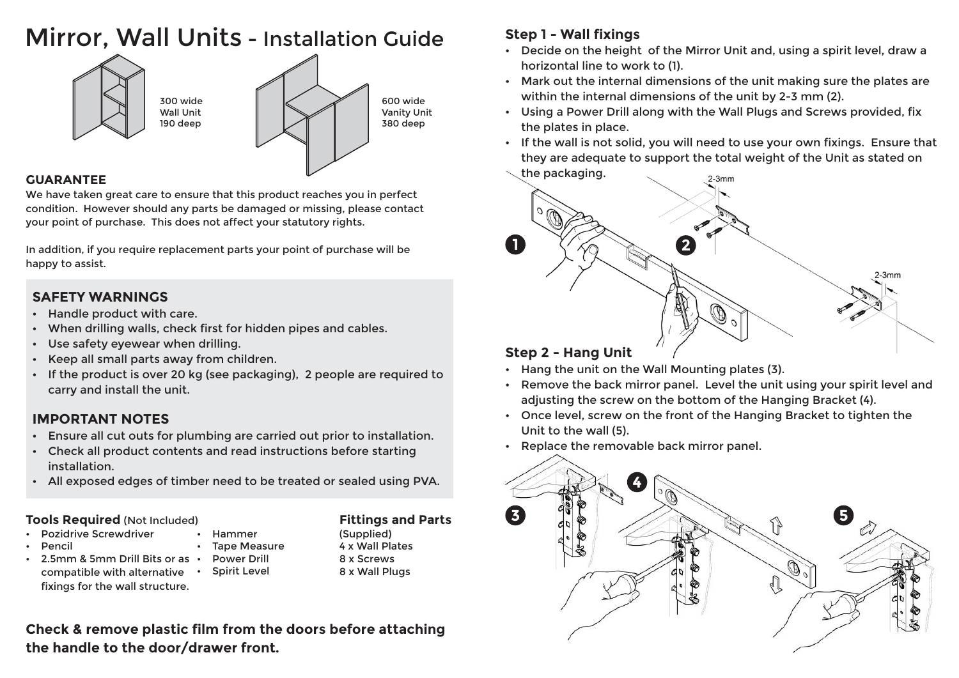## Mirror. Wall Units - Installation Guide



## **GUARANTEE**

We have taken great care to ensure that this product reaches you in perfect condition. However should any parts be damaged or missing, please contact your point of purchase. This does not affect your statutory rights.

In addition, if you require replacement parts your point of purchase will be happy to assist.

## **SAFETY WARNINGS**

- Handle product with care.  $\bullet$
- When drilling walls, check first for hidden pipes and cables.
- Use safety eyewear when drilling.  $\bullet$
- Keep all small parts away from children.
- If the product is over 20 kg (see packaging), 2 people are required to  $\bullet$ carry and install the unit.

## **IMPORTANT NOTES**

- Ensure all cut outs for plumbing are carried out prior to installation.
- Check all product contents and read instructions before starting installation.
- . All exposed edges of timber need to be treated or sealed using PVA.

### **Tools Required (Not Included)**

fixings for the wall structure.

- **Pozidrive Screwdriver** Hammer
- Pencil
	- 2.5mm & 5mm Drill Bits or as . **Spirit Level** compatible with alternative .
- **Tape Measure Power Drill**

#### 4 x Wall Plates 8 x Screws 8 x Wall Plugs

(Supplied)

**Fittings and Parts** 

## Check & remove plastic film from the doors before attaching the handle to the door/drawer front.

## **Step 1 - Wall fixings**

- Decide on the height of the Mirror Unit and, using a spirit level, draw a horizontal line to work to (1).
- Mark out the internal dimensions of the unit making sure the plates are within the internal dimensions of the unit by 2-3 mm (2).
- . Using a Power Drill along with the Wall Plugs and Screws provided, fix the plates in place.
- If the wall is not solid, you will need to use your own fixings. Ensure that they are adequate to support the total weight of the Unit as stated on



- Hang the unit on the Wall Mounting plates (3).
- . Remove the back mirror panel. Level the unit using your spirit level and adjusting the screw on the bottom of the Hanging Bracket (4).
- Once level, screw on the front of the Hanging Bracket to tighten the  $\bullet$ Unit to the wall (5).
- Replace the removable back mirror panel.  $\bullet$